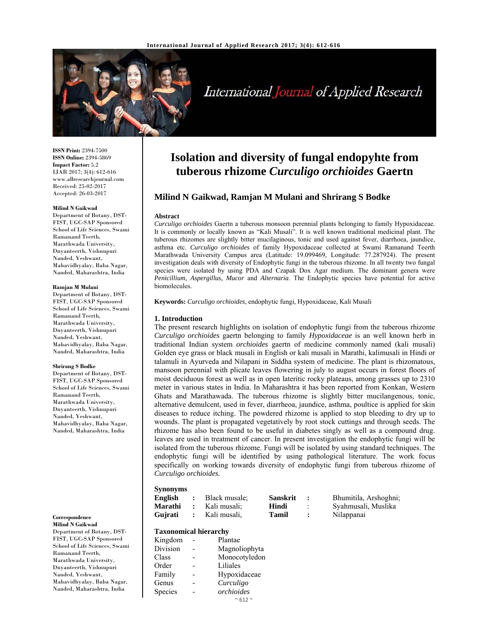

# International Journal of Applied Research

**ISSN Print:** 2394-7500 **ISSN Online:** 2394-5869 **Impact Factor:** 5.2 IJAR 2017; 3(4): 612-616 www.allresearchjournal.com Received: 25-02-2017 Accepted: 26-03-2017

#### **Milind N Gaikwad**

Department of Botany, DST-FIST, UGC-SAP Sponsored School of Life Sciences, Swami Ramanand Teerth, Marathwada University, Dnyanteerth, Vishnupuri Nanded, Yeshwant, Mahavidhyalay, Baba Nagar, Nanded, Maharashtra, India

#### **Ramjan M Mulani**

Department of Botany, DST-FIST, UGC-SAP Sponsored School of Life Sciences, Swami Ramanand Teerth, Marathwada University, Dnyanteerth, Vishnupuri Nanded, Yeshwant, Mahavidhyalay, Baba Nagar, Nanded, Maharashtra, India

#### **Shrirang S Bodke**

Department of Botany, DST-FIST, UGC-SAP Sponsored School of Life Sciences, Swami Ramanand Teerth, Marathwada University, Dnyanteerth, Vishnupuri Nanded, Yeshwant, Mahavidhyalay, Baba Nagar, Nanded, Maharashtra, India

**Correspondence Milind N Gaikwad** 

Department of Botany, DST-FIST, UGC-SAP Sponsored School of Life Sciences, Swami Ramanand Teerth, Marathwada University, Dnyanteerth, Vishnupuri Nanded, Yeshwant, Mahavidhyalay, Baba Nagar, Nanded, Maharashtra, India

# **Isolation and diversity of fungal endopyhte from tuberous rhizome** *Curculigo orchioides* **Gaertn**

# **Milind N Gaikwad, Ramjan M Mulani and Shrirang S Bodke**

#### **Abstract**

*Curculigo orchioides* Gaertn a tuberous monsoon perennial plants belonging to family Hypoxidaceae*.*  It is commonly or locally known as "Kali Musali". It is well known traditional medicinal plant. The tuberous rhizomes are slightly bitter mucilaginous, tonic and used against fever, diarrhoea, jaundice, asthma etc. *Curculigo orchioides* of family Hypoxidaceae collected at Swami Ramanand Teerth Marathwada University Campus area (Latitude: 19.099469, Longitude: 77.287924). The present investigation deals with diversity of Endophytic fungi in the tuberous rhizome. In all twenty two fungal species were isolated by using PDA and Czapak Dox Agar medium. The dominant genera were *Penicillium*, *Aspergillus, Mucor* and *Alternaria*. The Endophytic species have potential for active biomolecules.

**Keywords:** *Curculigo orchioides*, endophytic fungi, Hypoxidaceae*,* Kali Musali

# **1. Introduction**

The present research highlights on isolation of endophytic fungi from the tuberous rhizome *Curculigo orchioides* gaertn belonging to family *Hypoxidaceae* is an well known herb in traditional Indian system *orchioides* gaertn of medicine commonly named (kali musali) Golden eye grass or black musali in English or kali musali in Marathi, kalimusali in Hindi or talamuli in Ayurveda and Nilapani in Siddha system of medicine. The plant is rhizomatous, mansoon perennial with plicate leaves flowering in july to august occurs in forest floors of moist deciduous forest as well as in open lateritic rocky plateaus, among grasses up to 2310 meter in various states in India. In Maharashtra it has been reported from Konkan, Western Ghats and Marathawada. The tuberous rhizome is slightly bitter mucilangenous, tonic, alternative demulcent, used in fever, diarrheoa, jaundice, asthma, poultice is applied for skin diseases to reduce itching. The powdered rhizome is applied to stop bleeding to dry up to wounds. The plant is propagated vegetatively by root stock cuttings and through seeds. The rhizome has also been found to be useful in diabetes singly as well as a compound drug. leaves are used in treatment of cancer. In present investigation the endophytic fungi will be isolated from the tuberous rhizome. Fungi will be isolated by using standard techniques. The endophytic fungi will be identified by using pathological literature. The work focus specifically on working towards diversity of endophytic fungi from tuberous rhizome of *Curculigo orchioides.*

#### **Synonyms**

| English |                      | Black musale:  | <b>Sanskrit</b> |                     | Bhumitila, Arshoghni; |
|---------|----------------------|----------------|-----------------|---------------------|-----------------------|
| Marathi | $\ddot{\phantom{a}}$ | Kali musali:   | Hindi           | $\bullet$<br>$\sim$ | Syahmusali, Muslika   |
| Gujrati |                      | : Kali musali. | Tamil           | $\bullet$           | Nilappanai            |

# **Taxonomical hierarchy**

| талопонисат пістатеп ( |  |                     |  |  |  |  |
|------------------------|--|---------------------|--|--|--|--|
| Kingdom                |  | Plantae             |  |  |  |  |
| Division               |  | Magnoliophyta       |  |  |  |  |
| Class                  |  | Monocotyledon       |  |  |  |  |
| Order                  |  | Liliales            |  |  |  |  |
| Family                 |  | Hypoxidaceae        |  |  |  |  |
| Genus                  |  | Curculigo           |  |  |  |  |
| Species                |  | orchioides          |  |  |  |  |
|                        |  | $~\sim$ 612 $~\sim$ |  |  |  |  |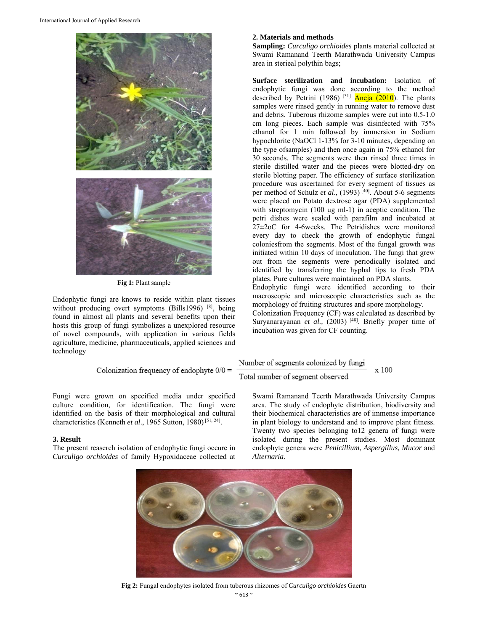

**Fig 1:** Plant sample

Endophytic fungi are knows to reside within plant tissues without producing overt symptoms (Bills1996) [8], being found in almost all plants and several benefits upon their hosts this group of fungi symbolizes a unexplored resource of novel compounds, with application in various fields agriculture, medicine, pharmaceuticals, applied sciences and technology

$$
Colonization frequency of endophyte\ 0/0=
$$

Fungi were grown on specified media under specified culture condition, for identification. The fungi were identified on the basis of their morphological and cultural characteristics (Kenneth *et al*., 1965 Sutton, 1980) [51, 24].

# **3. Result**

The present reaserch isolation of endophytic fungi occure in *Curculigo orchioides* of family Hypoxidaceae collected at

# **2. Materials and methods**

**Sampling:** *Curculigo orchioides* plants material collected at Swami Ramanand Teerth Marathwada University Campus area in sterieal polythin bags;

**Surface sterilization and incubation:** Isolation of endophytic fungi was done according to the method described by Petrini (1986) <sup>[31]</sup> Aneja (2010). The plants samples were rinsed gently in running water to remove dust and debris. Tuberous rhizome samples were cut into 0.5-1.0 cm long pieces. Each sample was disinfected with 75% ethanol for 1 min followed by immersion in Sodium hypochlorite (NaOCl 1-13% for 3-10 minutes, depending on the type ofsamples) and then once again in 75% ethanol for 30 seconds. The segments were then rinsed three times in sterile distilled water and the pieces were blotted-dry on sterile blotting paper. The efficiency of surface sterilization procedure was ascertained for every segment of tissues as per method of Schulz *et al*., (1993) [40]. About 5-6 segments were placed on Potato dextrose agar (PDA) supplemented with streptomycin (100 μg ml-1) in aceptic condition. The petri dishes were sealed with parafilm and incubated at 27±2oC for 4-6weeks. The Petridishes were monitored every day to check the growth of endophytic fungal coloniesfrom the segments. Most of the fungal growth was initiated within 10 days of inoculation. The fungi that grew out from the segments were periodically isolated and identified by transferring the hyphal tips to fresh PDA plates. Pure cultures were maintained on PDA slants.

Endophytic fungi were identified according to their macroscopic and microscopic characteristics such as the morphology of fruiting structures and spore morphology.

Colonization Frequency (CF) was calculated as described by Suryanarayanan et al., (2003) [48]. Briefly proper time of incubation was given for CF counting.

### Number of segments colonized by fungi x 100 Total number of segment observed

Swami Ramanand Teerth Marathwada University Campus area. The study of endophyte distribution, biodiversity and their biochemical characteristics are of immense importance in plant biology to understand and to improve plant fitness. Twenty two species belonging to12 genera of fungi were isolated during the present studies. Most dominant endophyte genera were *Penicillium*, *Aspergillus, Mucor* and *Alternaria*.



 $~8$  613  $~8$ **Fig 2:** Fungal endophytes isolated from tuberous rhizomes of *Curculigo orchioides* Gaertn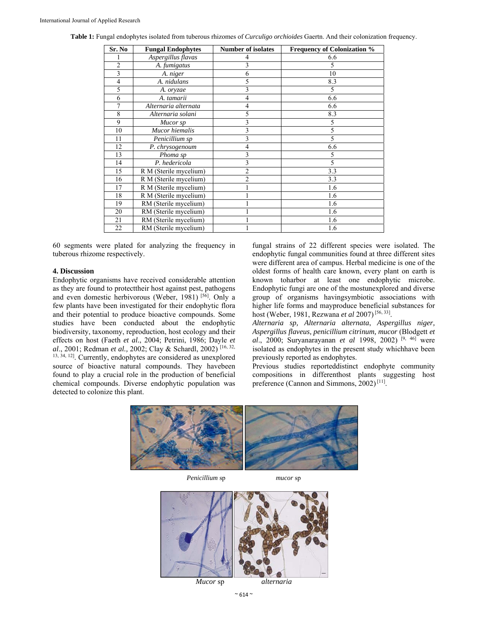| Sr. No         | <b>Fungal Endophytes</b> | <b>Number of isolates</b> | <b>Frequency of Colonization %</b> |
|----------------|--------------------------|---------------------------|------------------------------------|
|                | Aspergillus flavas       |                           | 6.6                                |
| $\overline{2}$ | A. fumigatus             | 3                         |                                    |
| 3              | A. niger                 | 6                         | 10                                 |
| $\overline{4}$ | A. nidulans              | 5                         | 8.3                                |
| 5              | A. oryzae                | 3                         | 5                                  |
| 6              | A. tamarii               | 4                         | 6.6                                |
| 7              | Alternaria alternata     | 4                         | 6.6                                |
| 8              | Alternaria solani        | 5                         | 8.3                                |
| 9              | Mucor sp                 | 3                         | 5                                  |
| 10             | Mucor hiemalis           | 3                         | 5                                  |
| 11             | Penicillium sp           | 3                         | 5                                  |
| 12             | P. chrysogenoum          | 4                         | 6.6                                |
| 13             | Phoma sp                 | 3                         | 5                                  |
| 14             | P. hedericola            | 3                         | 5                                  |
| 15             | R M (Sterile mycelium)   | $\overline{2}$            | 3.3                                |
| 16             | R M (Sterile mycelium)   | $\overline{2}$            | 3.3                                |
| 17             | R M (Sterile mycelium)   |                           | 1.6                                |
| 18             | R M (Sterile mycelium)   |                           | 1.6                                |
| 19             | RM (Sterile mycelium)    |                           | 1.6                                |
| 20             | RM (Sterile mycelium)    |                           | 1.6                                |
| 21             | RM (Sterile mycelium)    |                           | 1.6                                |
| 22             | RM (Sterile mycelium)    |                           | 1.6                                |

**Table 1:** Fungal endophytes isolated from tuberous rhizomes of *Curculigo orchioides* Gaertn. And their colonization frequency.

60 segments were plated for analyzing the frequency in tuberous rhizome respectively.

# **4. Discussion**

Endophytic organisms have received considerable attention as they are found to protecttheir host against pest, pathogens and even domestic herbivorous (Weber, 1981) [56]. Only a few plants have been investigated for their endophytic flora and their potential to produce bioactive compounds. Some studies have been conducted about the endophytic biodiversity, taxonomy, reproduction, host ecology and their effects on host (Faeth *et al.*, 2004; Petrini, 1986; Dayle *et al*., 2001; Redman *et al.,* 2002; Clay & Schardl, 2002) [16, 32, 13, 34, 12]. Currently, endophytes are considered as unexplored source of bioactive natural compounds. They havebeen found to play a crucial role in the production of beneficial chemical compounds. Diverse endophytic population was detected to colonize this plant.

fungal strains of 22 different species were isolated. The endophytic fungal communities found at three different sites were different area of campus. Herbal medicine is one of the oldest forms of health care known, every plant on earth is known toharbor at least one endophytic microbe. Endophytic fungi are one of the mostunexplored and diverse group of organisms havingsymbiotic associations with higher life forms and mayproduce beneficial substances for host (Weber, 1981, Rezwana *et al* 2007) [56, 33].

*Alternaria sp, Alternaria alternata*, *Aspergillus niger, Aspergillus flaveus, penicillium citrinum, mucor* (Blodgett *et al*., 2000; Suryanarayanan *et al* 1998, 2002) [9, 46] were isolated as endophytes in the present study whichhave been previously reported as endophytes.

Previous studies reporteddistinct endophyte community compositions in differenthost plants suggesting host preference (Cannon and Simmons, 2002)<sup>[11]</sup>.



*Penicillium* sp *mucor* sp



 $\sim$  614  $\sim$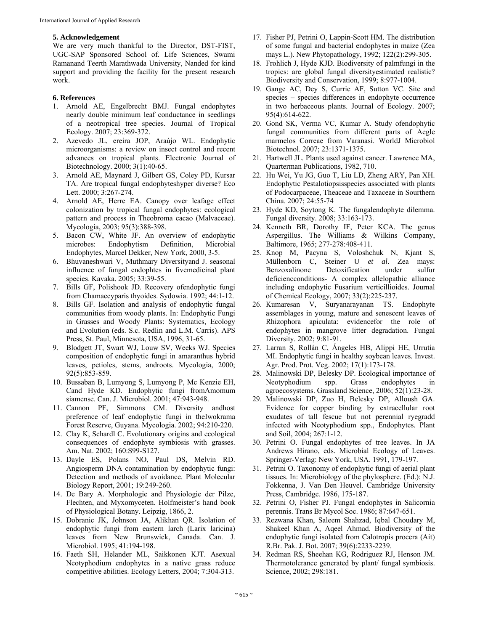## **5. Acknowledgement**

We are very much thankful to the Director, DST-FIST, UGC-SAP Sponsored School of. Life Sciences, Swami Ramanand Teerth Marathwada University, Nanded for kind support and providing the facility for the present research work.

# **6. References**

- 1. Arnold AE, Engelbrecht BMJ. Fungal endophytes nearly double minimum leaf conductance in seedlings of a neotropical tree species. Journal of Tropical Ecology. 2007; 23:369-372.
- 2. Azevedo JL, ereira JOP, Araújo WL. Endophytic microorganisms: a review on insect control and recent advances on tropical plants. Electronic Journal of Biotechnology. 2000; 3(1):40-65.
- 3. Arnold AE, Maynard J, Gilbert GS, Coley PD, Kursar TA. Are tropical fungal endophyteshyper diverse? Eco Lett. 2000; 3:267-274.
- 4. Arnold AE, Herre EA. Canopy over leafage effect colonization by tropical fungal endophytes: ecological pattern and process in Theobroma cacao (Malvaceae). Mycologia, 2003; 95(3):388-398.
- 5. Bacon CW, White JF. An overview of endophytic microbes: Endophytism Definition, Microbial Endophytes, Marcel Dekker, New York, 2000, 3-5.
- 6. Bhuvaneshwari V, Muthmary Diversityand J. seasonal influence of fungal endophtes in fivemedicinal plant species. Kavaka. 2005; 33:39-55.
- 7. Bills GF, Polishook JD. Recovery ofendophytic fungi from Chamaecyparis thyoides. Sydowia. 1992; 44:1-12.
- 8. Bills GF. Isolation and analysis of endophytic fungal communities from woody plants. In: Endophytic Fungi in Grasses and Woody Plants: Systematics, Ecology and Evolution (eds. S.c. Redlin and L.M. Carris). APS Press, St. Paul, Minnesota, USA, 1996, 31-65.
- 9. Blodgett JT, Swart WJ, Louw SV, Weeks WJ. Species composition of endophytic fungi in amaranthus hybrid leaves, petioles, stems, androots. Mycologia, 2000; 92(5):853-859.
- 10. Bussaban B, Lumyong S, Lumyong P, Mc Kenzie EH, Cand Hyde KD. Endophytic fungi fromAmomum siamense. Can. J. Microbiol. 2001; 47:943-948.
- 11. Cannon PF, Simmons CM. Diversity andhost preference of leaf endophytic fungi in theIwokrama Forest Reserve, Guyana. Mycologia. 2002; 94:210-220.
- 12. Clay K, Schardl C. Evolutionary origins and ecological consequences of endophyte symbiosis with grasses. Am. Nat. 2002; 160:S99-S127.
- 13. Dayle ES, Polans NO, Paul DS, Melvin RD. Angiosperm DNA contamination by endophytic fungi: Detection and methods of avoidance. Plant Molecular Biology Report, 2001; 19:249-260.
- 14. De Bary A. Morphologie and Physiologie der Pilze, Flechten, and Myxomyceten. Holfmeister's hand book of Physiological Botany. Leipzig, 1866, 2.
- 15. Dobranic JK, Johnson JA, Alikhan QR. Isolation of endophytic fungi from eastern larch (Larix laricina) leaves from New Brunswick, Canada. Can. J. Microbiol. 1995; 41:194-198.
- 16. Faeth SH, Helander ML, Saikkonen KJT. Asexual Neotyphodium endophytes in a native grass reduce competitive abilities. Ecology Letters, 2004; 7:304-313.
- 17. Fisher PJ, Petrini O, Lappin-Scott HM. The distribution of some fungal and bacterial endophytes in maize (Zea mays L.). New Phytopathology, 1992; 122(2):299-305.
- 18. Frohlich J, Hyde KJD. Biodiversity of palmfungi in the tropics: are global fungal diversityestimated realistic? Biodiversity and Conservation, 1999; 8:977-1004.
- 19. Gange AC, Dey S, Currie AF, Sutton VC. Site and species – species differences in endophyte occurrence in two herbaceous plants. Journal of Ecology. 2007; 95(4):614-622.
- 20. Gond SK, Verma VC, Kumar A. Study ofendophytic fungal communities from different parts of Aegle marmelos Correae from Varanasi. WorldJ Microbiol Biotechnol. 2007; 23:1371-1375.
- 21. Hartwell JL. Plants used against cancer. Lawrence MA, Quarterman Publications, 1982, 710.
- 22. Hu Wei, Yu JG, Guo T, Liu LD, Zheng ARY, Pan XH. Endophytic Pestalotiopsisspecies associated with plants of Podocarpaceae, Theaceae and Taxaceae in Sourthern China. 2007; 24:55-74
- 23. Hyde KD, Soytong K. The fungalendophyte dilemma. Fungal diversity. 2008; 33:163-173.
- 24. Kenneth BR, Dorothy IF, Peter KCA. The genus Aspergillus. The Williams & Wilkins Company, Baltimore, 1965; 277-278:408-411.
- 25. Knop M, Pacyna S, Voloshchuk N, Kjant S, Müllenborn C, Steiner U *et al*. Zea mays: Benzoxalinone Detoxification under sulfur deficiencconditions- A complex allelopathic alliance including endophytic Fusarium verticillioides. Journal of Chemical Ecology, 2007; 33(2):225-237.
- 26. Kumaresan V, Suryanarayanan TS. Endophyte assemblages in young, mature and senescent leaves of Rhizophora apiculata: evidencefor the role of endophytes in mangrove litter degradation. Fungal Diversity. 2002; 9:81-91.
- 27. Larran S, Rollán C, Ángeles HB, Alippi HE, Urrutia MI. Endophytic fungi in healthy soybean leaves. Invest. Agr. Prod. Prot. Veg. 2002; 17(1):173-178.
- 28. Malinowski DP, Belesky DP. Ecological importance of Neotyphodium spp. Grass endophytes in agroecosystems. Grassland Science, 2006; 52(1):23-28.
- 29. Malinowski DP, Zuo H, Belesky DP, Alloush GA. Evidence for copper binding by extracellular root exudates of tall fescue but not perennial ryegradd infected with Neotyphodium spp., Endophytes. Plant and Soil, 2004; 267:1-12.
- 30. Petrini O. Fungal endophytes of tree leaves. In JA Andrews Hirano, eds. Microbial Ecology of Leaves. Springer-Verlag: New York, USA. 1991, 179-197.
- 31. Petrini O. Taxonomy of endophytic fungi of aerial plant tissues. In: Microbiology of the phylosphere. (Ed.): N.J. Fokkenna, J. Van Den Heuvel. Cambridge University Press, Cambridge. 1986, 175-187.
- 32. Petrini O, Fisher PJ. Fungal endophytes in Salicornia perennis. Trans Br Mycol Soc. 1986; 87:647-651.
- 33. Rezwana Khan, Saleem Shahzad, Iqbal Choudary M, Shakeel Khan A, Aqeel Ahmad. Biodiversity of the endophytic fungi isolated from Calotropis procera (Ait) R.Br. Pak. J. Bot. 2007; 39(6):2233-2239.
- 34. Redman RS, Sheehan KG, Rodriguez RJ, Henson JM. Thermotolerance generated by plant/ fungal symbiosis. Science, 2002; 298:181.